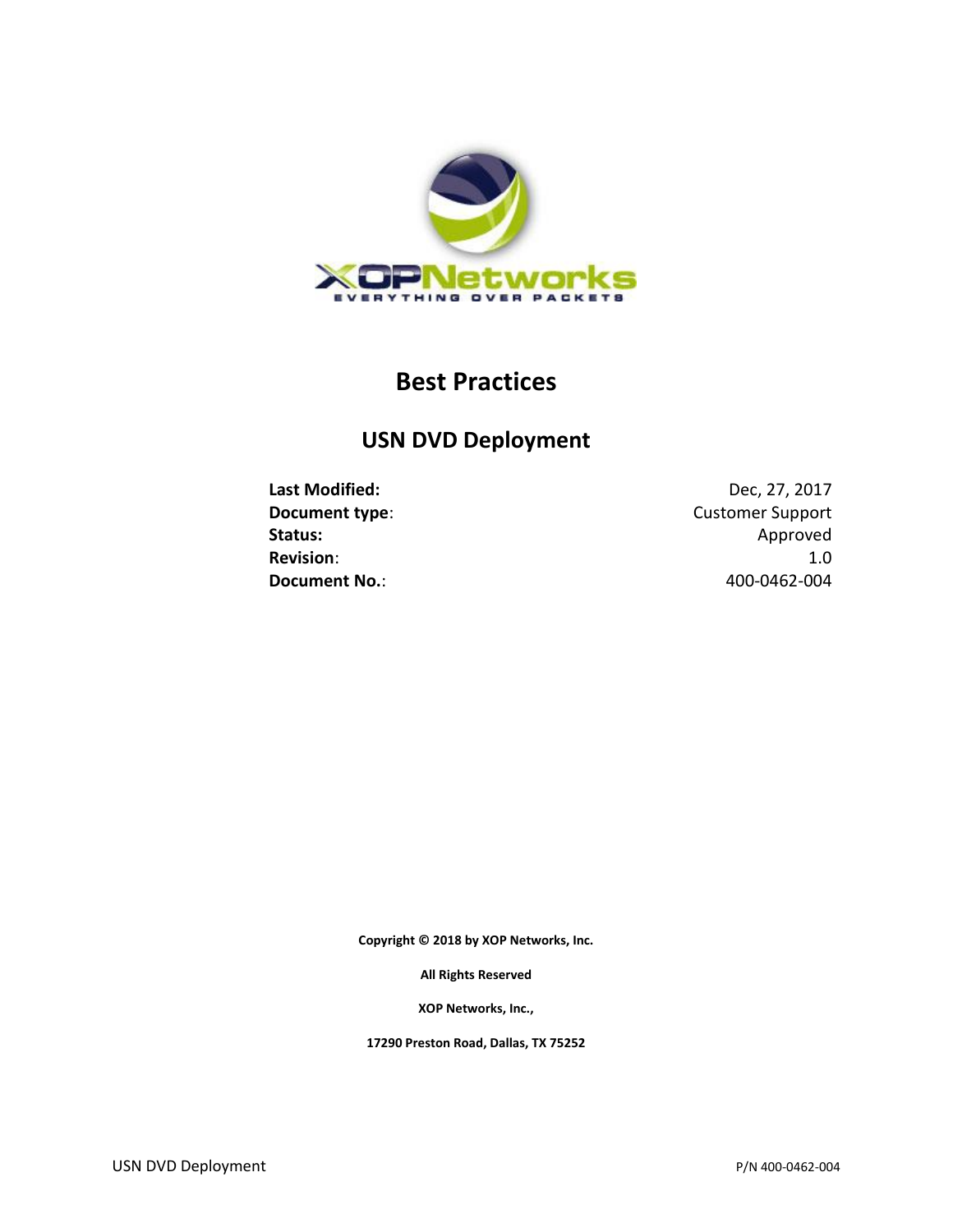

# **Best Practices**

# **USN DVD Deployment**

**Last Modified:** Dec, 27, 2017 **Document type:** Customer Support Status: Approved Approved Approved Approved Approved Approved Approved Approved Approved Approved Approved Approved Approved Approved Approved Approved Approved Approved Approved Approved Approved Approved Approved Approve **Revision**: 1.0 **Document No.**: 400-0462-004

**Copyright © 2018 by XOP Networks, Inc.**

**All Rights Reserved**

**XOP Networks, Inc.,**

**17290 Preston Road, Dallas, TX 75252**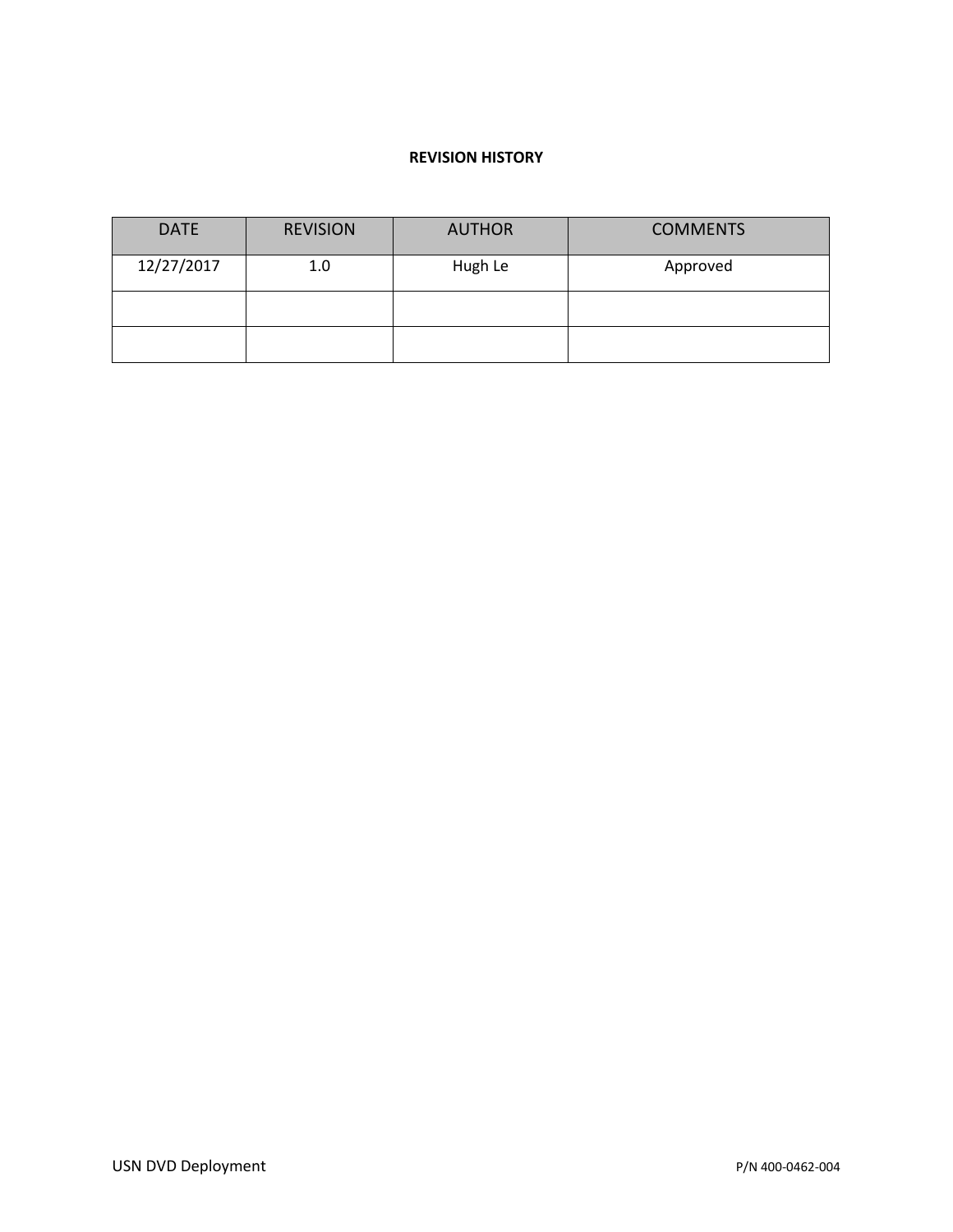#### **REVISION HISTORY**

| <b>DATE</b> | <b>REVISION</b> | <b>AUTHOR</b> | <b>COMMENTS</b> |  |
|-------------|-----------------|---------------|-----------------|--|
| 12/27/2017  | 1.0             | Hugh Le       | Approved        |  |
|             |                 |               |                 |  |
|             |                 |               |                 |  |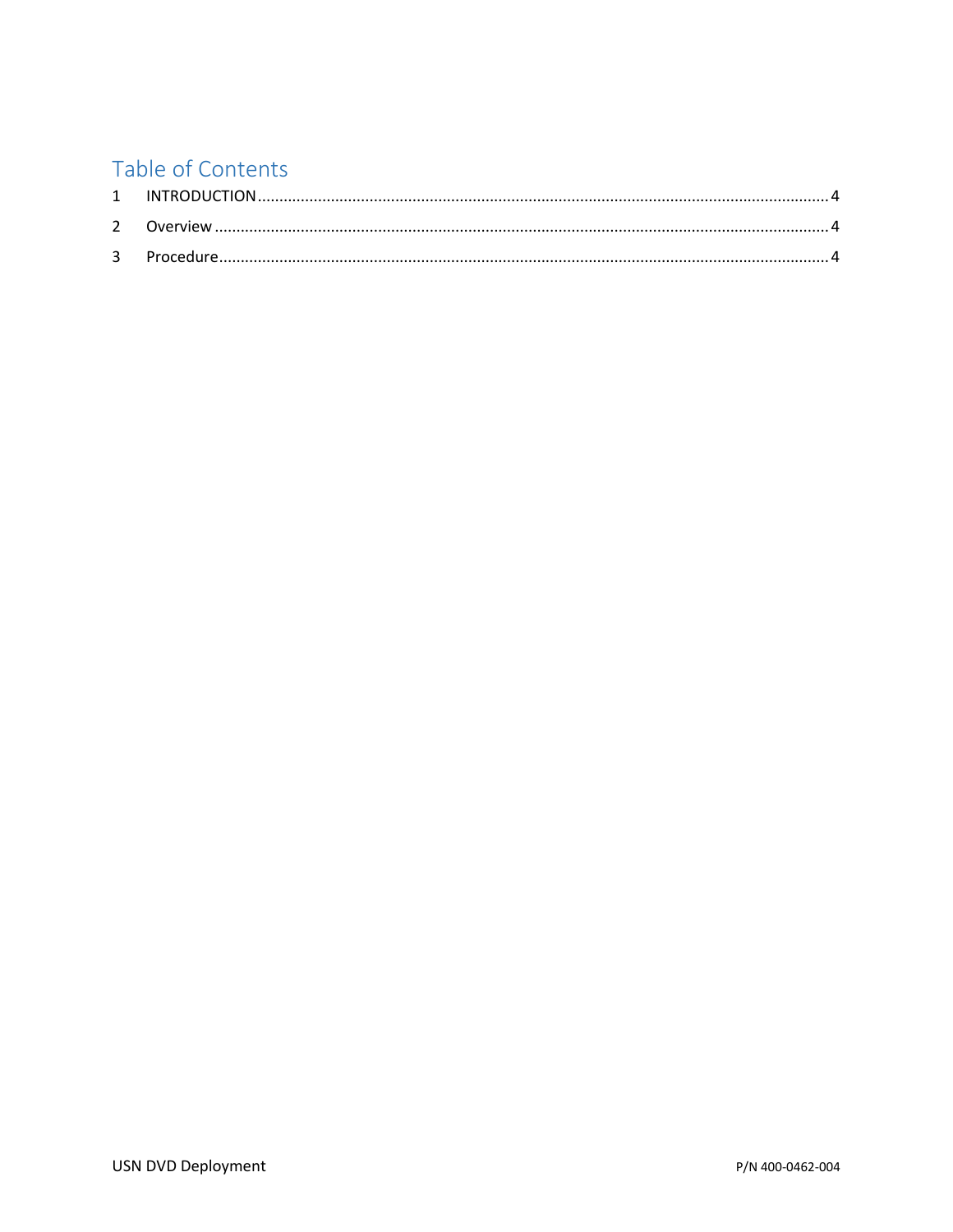# Table of Contents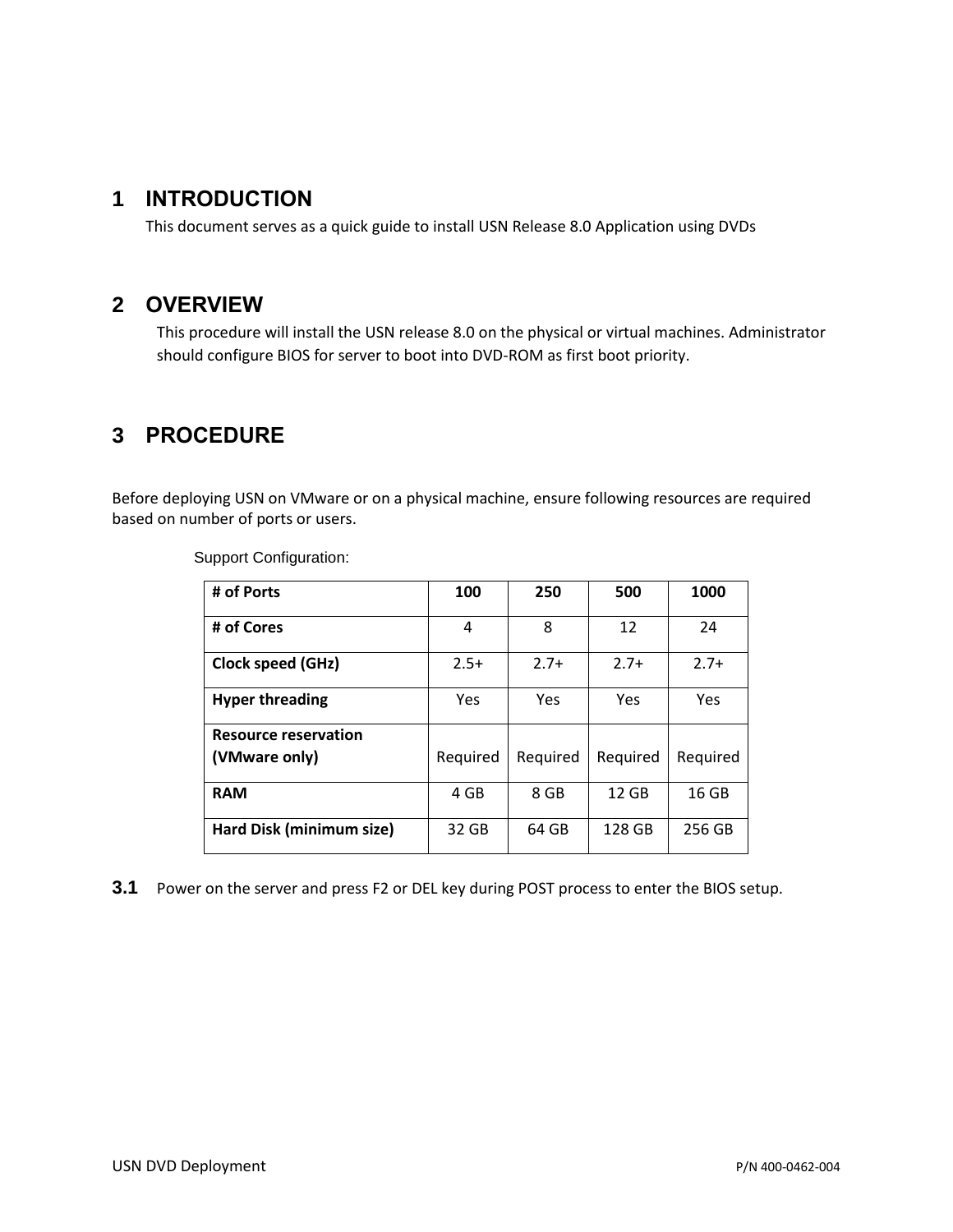### <span id="page-3-0"></span>**1 INTRODUCTION**

This document serves as a quick guide to install USN Release 8.0 Application using DVDs

### <span id="page-3-1"></span>**2 OVERVIEW**

This procedure will install the USN release 8.0 on the physical or virtual machines. Administrator should configure BIOS for server to boot into DVD-ROM as first boot priority.

## <span id="page-3-2"></span>**3 PROCEDURE**

Before deploying USN on VMware or on a physical machine, ensure following resources are required based on number of ports or users.

| # of Ports                  | 100      | 250      | 500      | 1000     |
|-----------------------------|----------|----------|----------|----------|
| # of Cores                  | 4        | 8        | 12       | 24       |
| Clock speed (GHz)           | $2.5+$   | $2.7+$   | $2.7+$   | $2.7+$   |
| <b>Hyper threading</b>      | Yes      | Yes      | Yes      | Yes      |
| <b>Resource reservation</b> |          |          |          |          |
| (VMware only)               | Required | Required | Required | Required |
| <b>RAM</b>                  | 4 GB     | 8 GB     | 12 GB    | 16 GB    |
| Hard Disk (minimum size)    | 32 GB    | 64 GB    | 128 GB   | 256 GB   |

Support Configuration:

**3.1** Power on the server and press F2 or DEL key during POST process to enter the BIOS setup.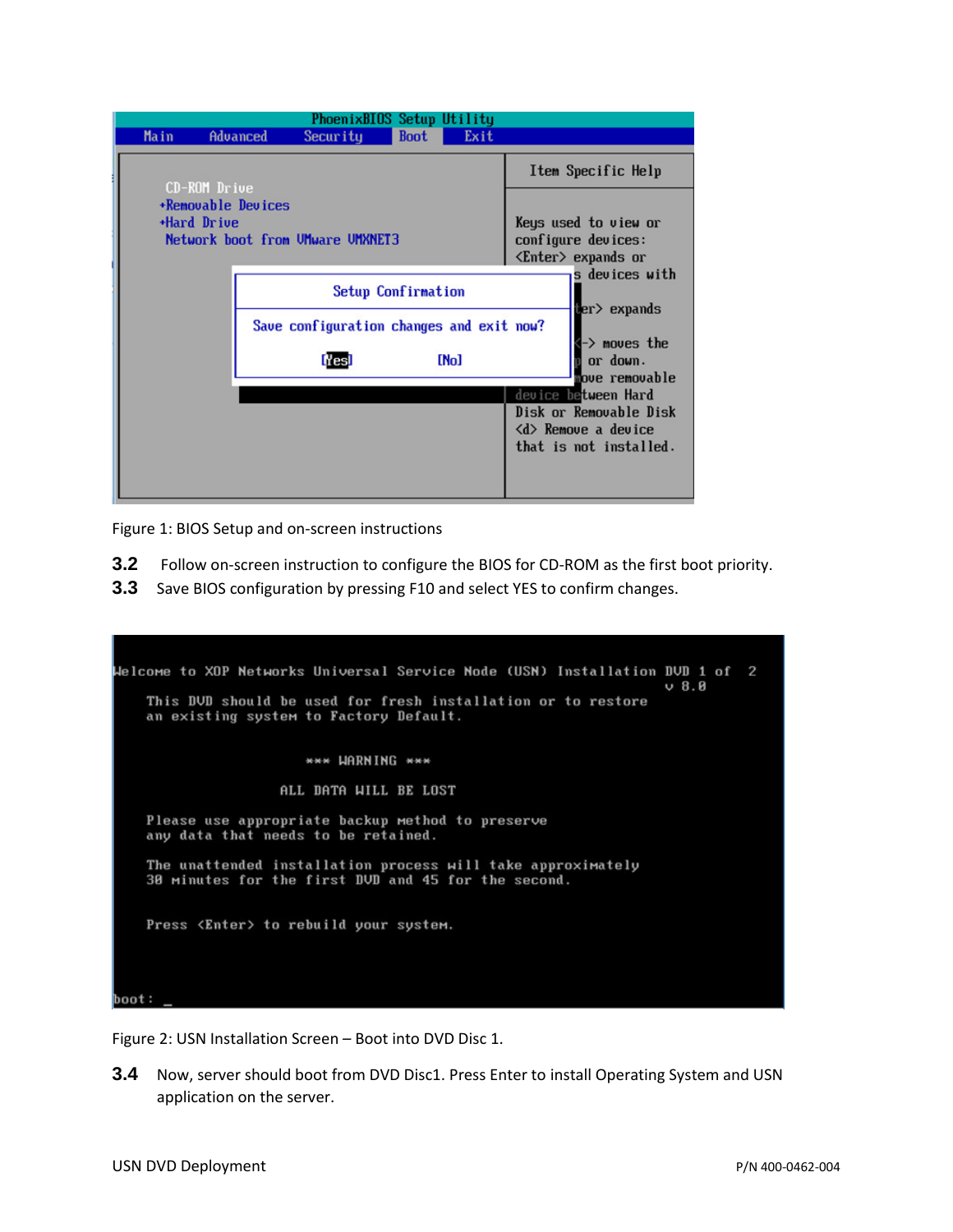|                                                                                                     | PhoenixBIOS Setup Utility |          |                                          |             |                                            |                                                               |  |
|-----------------------------------------------------------------------------------------------------|---------------------------|----------|------------------------------------------|-------------|--------------------------------------------|---------------------------------------------------------------|--|
|                                                                                                     | <b>Main</b>               | Advanced | Security                                 | <b>Boot</b> | Exit                                       |                                                               |  |
|                                                                                                     |                           |          |                                          |             |                                            | Item Specific Help                                            |  |
| CD-ROM Drive<br><b>*Removable Devices</b><br><b>+Hard Drive</b><br>Network boot from UMware UMXNET3 |                           |          |                                          |             | Keys used to view or<br>configure devices: |                                                               |  |
|                                                                                                     |                           |          |                                          |             |                                            | $\langle$ Enter $\rangle$ expands or                          |  |
|                                                                                                     |                           |          | Setup Confirmation                       |             |                                            | s devices with<br>ter> expands                                |  |
|                                                                                                     |                           |          | Save configuration changes and exit now? |             |                                            |                                                               |  |
|                                                                                                     |                           |          | <b>Nes</b>                               |             | [No]                                       | $\rightarrow$ moves the<br>or down.<br>hove removable         |  |
|                                                                                                     |                           |          |                                          |             |                                            | device between Hard                                           |  |
|                                                                                                     |                           |          |                                          |             |                                            | Disk or Removable Disk<br>$\langle d \rangle$ Remove a device |  |
|                                                                                                     |                           |          |                                          |             |                                            | that is not installed.                                        |  |
|                                                                                                     |                           |          |                                          |             |                                            |                                                               |  |

Figure 1: BIOS Setup and on-screen instructions

- **3.2** Follow on-screen instruction to configure the BIOS for CD-ROM as the first boot priority.
- **3.3** Save BIOS configuration by pressing F10 and select YES to confirm changes.

| Welcome to XOP Networks Universal Service Node (USN) Installation DVD 1 of 2<br>$U_8.8$                            |
|--------------------------------------------------------------------------------------------------------------------|
| This DUD should be used for fresh installation or to restore<br>an existing system to Factory Default.             |
| *** LIARNING ***                                                                                                   |
| ALL DATA WILL BE LOST                                                                                              |
| Please use appropriate backup method to preserve<br>any data that needs to be retained.                            |
| The unattended installation process will take approximately<br>30 minutes for the first DUD and 45 for the second. |
| Press <enter> to rebuild your system.</enter>                                                                      |
|                                                                                                                    |
| boot:                                                                                                              |

Figure 2: USN Installation Screen – Boot into DVD Disc 1.

**3.4** Now, server should boot from DVD Disc1. Press Enter to install Operating System and USN application on the server.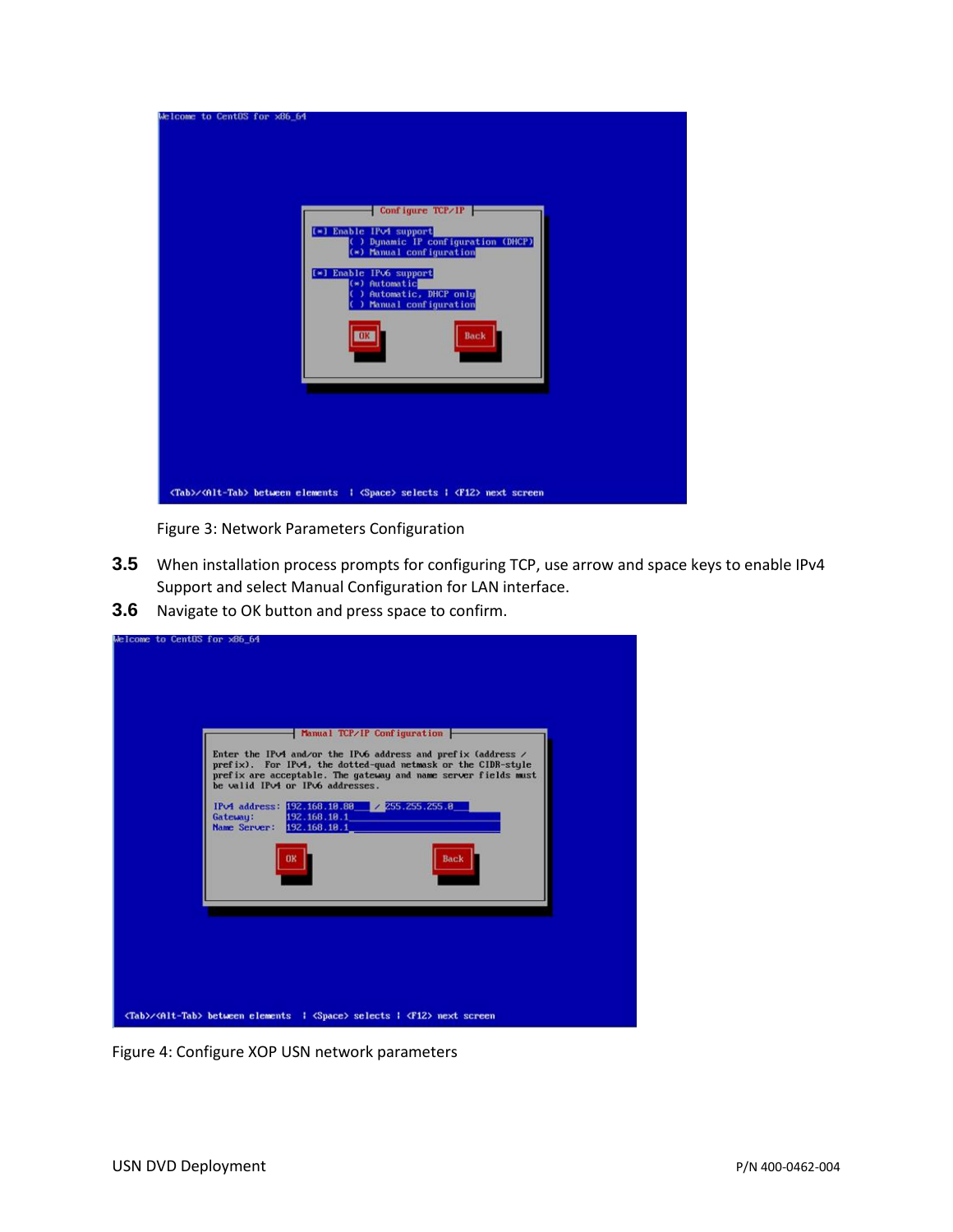

Figure 3: Network Parameters Configuration

- **3.5** When installation process prompts for configuring TCP, use arrow and space keys to enable IPv4 Support and select Manual Configuration for LAN interface.
- **3.6** Navigate to OK button and press space to confirm.

|          | Manual TCP/IP Configuration                                                                                                        | Enter the IP $\vee$ 4 and/or the IP $\vee$ 6 address and prefix (address /<br>prefix). For IPv4, the dotted-quad netmask or the CIDR-style<br>prefix are acceptable. The gateway and name server fields must |
|----------|------------------------------------------------------------------------------------------------------------------------------------|--------------------------------------------------------------------------------------------------------------------------------------------------------------------------------------------------------------|
| Gateway: | be valid IPv4 or IPv6 addresses.<br>IPv4 address: 192.168.18.88 / 255.255.255.8<br>192.168.18.1<br>Name Server: 192.168.18.1<br>OK | Back                                                                                                                                                                                                         |
|          |                                                                                                                                    |                                                                                                                                                                                                              |

Figure 4: Configure XOP USN network parameters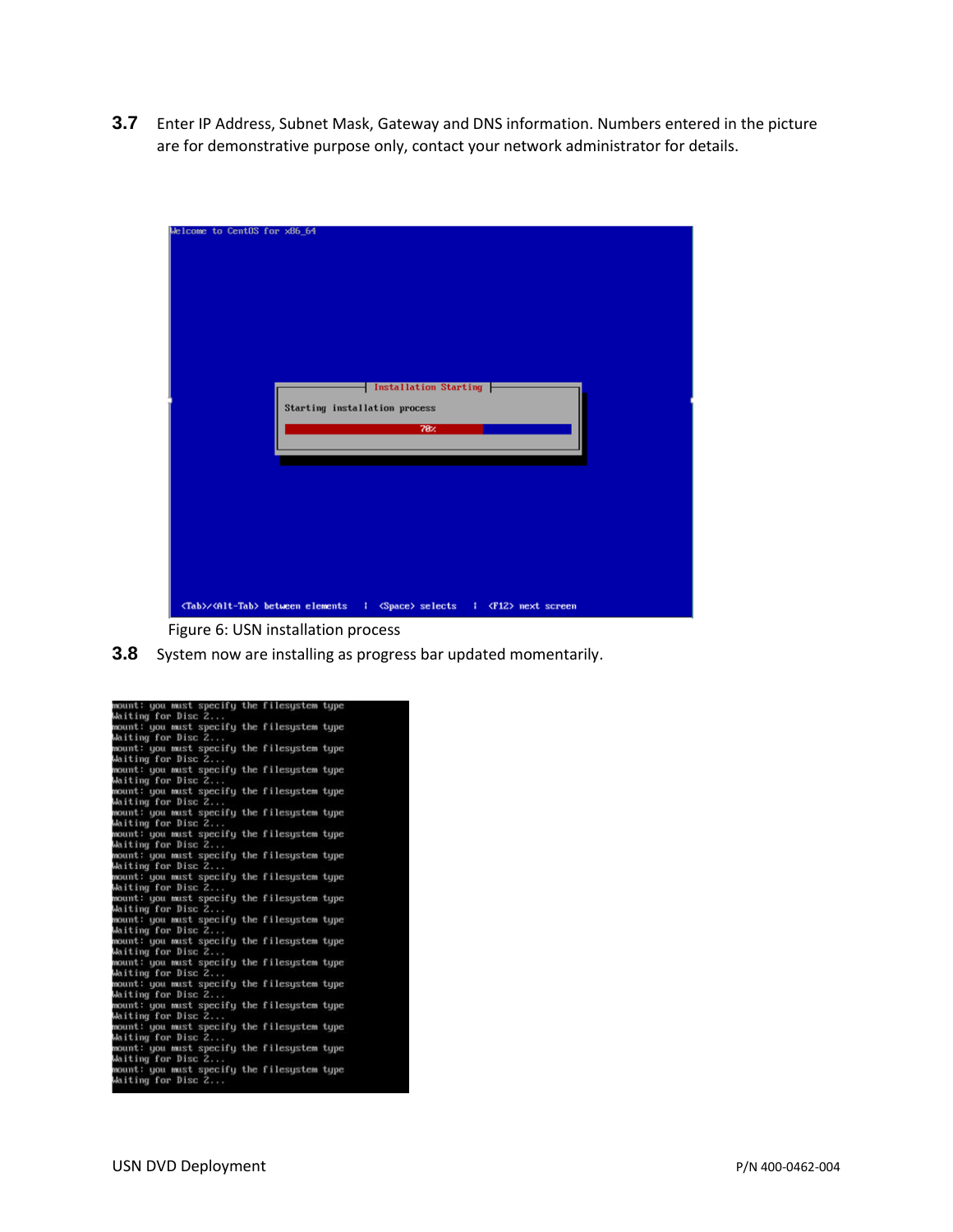**3.7** Enter IP Address, Subnet Mask, Gateway and DNS information. Numbers entered in the picture are for demonstrative purpose only, contact your network administrator for details.

| Welcome to CentOS for x86_64                                                                         |
|------------------------------------------------------------------------------------------------------|
|                                                                                                      |
|                                                                                                      |
|                                                                                                      |
|                                                                                                      |
|                                                                                                      |
|                                                                                                      |
|                                                                                                      |
|                                                                                                      |
|                                                                                                      |
|                                                                                                      |
| Installation Starting                                                                                |
| Starting installation process                                                                        |
|                                                                                                      |
| 78 <sub>2</sub>                                                                                      |
|                                                                                                      |
|                                                                                                      |
|                                                                                                      |
|                                                                                                      |
|                                                                                                      |
|                                                                                                      |
|                                                                                                      |
|                                                                                                      |
|                                                                                                      |
|                                                                                                      |
|                                                                                                      |
| <tab>/<alt-tab> between elements   <space> selects   <f12> next screen</f12></space></alt-tab></tab> |
| Figure 6: USN installation process                                                                   |

**3.8** System now are installing as progress bar updated momentarily.

| mount: you must specify the filesystem type                       |  |  |
|-------------------------------------------------------------------|--|--|
| Waiting for Disc 2                                                |  |  |
| mount: you must specify the filesystem type<br>Waiting for Disc Z |  |  |
| mount: you must specify the filesystem type                       |  |  |
| Waiting for Disc 2                                                |  |  |
| mount: you must specify the filesystem type                       |  |  |
| Waiting for Disc 2                                                |  |  |
| mount: you must specify the filesystem type<br>Waiting for Disc 2 |  |  |
| mount: you must specify the filesystem type                       |  |  |
| Waiting for Disc 2                                                |  |  |
| mount: you must specify the filesystem type                       |  |  |
| Waiting for Disc 2                                                |  |  |
| mount: you must specify the filesystem type<br>Waiting for Disc Z |  |  |
| mount: you must specify the filesystem type                       |  |  |
| Waiting for Disc Z                                                |  |  |
| mount: you must specify the filesystem type                       |  |  |
| Waiting for Disc 2                                                |  |  |
| mount: you must specify the filesystem type                       |  |  |
| Waiting for Disc Z                                                |  |  |
| mount: you must specify the filesystem type                       |  |  |
| Waiting for Disc 2                                                |  |  |
| mount: you must specify the filesystem type<br>Waiting for Disc Z |  |  |
| mount: you must specify the filesystem type                       |  |  |
| Waiting for Disc Z                                                |  |  |
| mount: you must specify the filesystem type                       |  |  |
| Waiting for Disc Z                                                |  |  |
| mount: you must specify the filesystem type                       |  |  |
| Waiting for Disc Z                                                |  |  |
| mount: you must specify the filesystem type                       |  |  |
| Waiting for Disc Z                                                |  |  |
| mount: you must specify the filesystem type<br>Waiting for Disc 2 |  |  |
|                                                                   |  |  |